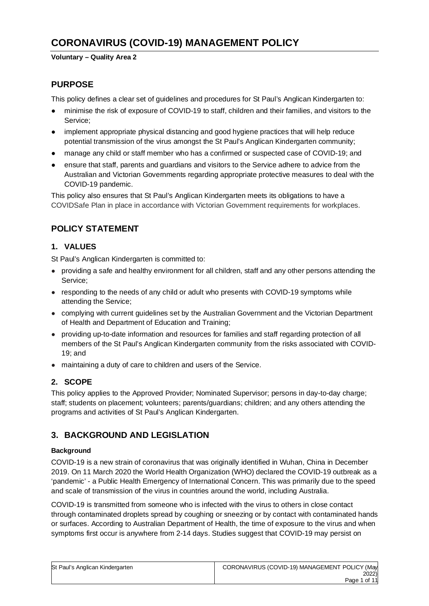# **CORONAVIRUS (COVID-19) MANAGEMENT POLICY**

#### **Voluntary – Quality Area 2**

# **PURPOSE**

This policy defines a clear set of guidelines and procedures for St Paul's Anglican Kindergarten to:

- minimise the risk of exposure of COVID-19 to staff, children and their families, and visitors to the Service;
- implement appropriate physical distancing and good hygiene practices that will help reduce potential transmission of the virus amongst the St Paul's Anglican Kindergarten community;
- manage any child or staff member who has a confirmed or suspected case of COVID-19; and
- ensure that staff, parents and guardians and visitors to the Service adhere to advice from the Australian and Victorian Governments regarding appropriate protective measures to deal with the COVID-19 pandemic.

This policy also ensures that St Paul's Anglican Kindergarten meets its obligations to have a COVIDSafe Plan in place in accordance with Victorian Government requirements for workplaces.

# **POLICY STATEMENT**

# **1. VALUES**

St Paul's Anglican Kindergarten is committed to:

- providing a safe and healthy environment for all children, staff and any other persons attending the Service;
- responding to the needs of any child or adult who presents with COVID-19 symptoms while attending the Service;
- complying with current guidelines set by the Australian Government and the Victorian Department of Health and Department of Education and Training;
- providing up-to-date information and resources for families and staff regarding protection of all members of the St Paul's Anglican Kindergarten community from the risks associated with COVID-19; and
- maintaining a duty of care to children and users of the Service.

# **2. SCOPE**

This policy applies to the Approved Provider; Nominated Supervisor; persons in day-to-day charge; staff; students on placement; volunteers; parents/guardians; children; and any others attending the programs and activities of St Paul's Anglican Kindergarten.

# **3. BACKGROUND AND LEGISLATION**

### **Background**

COVID-19 is a new strain of coronavirus that was originally identified in Wuhan, China in December 2019. On 11 March 2020 the World Health Organization (WHO) declared the COVID-19 outbreak as a 'pandemic' - a Public Health Emergency of International Concern. This was primarily due to the speed and scale of transmission of the virus in countries around the world, including Australia.

COVID-19 is transmitted from someone who is infected with the virus to others in close contact through contaminated droplets spread by coughing or sneezing or by contact with contaminated hands or surfaces. According to Australian Department of Health, the time of exposure to the virus and when symptoms first occur is anywhere from 2-14 days. Studies suggest that COVID-19 may persist on

| St Paul's Anglican Kindergarten | CORONAVIRUS (COVID-19) MANAGEMENT POLICY (May |
|---------------------------------|-----------------------------------------------|
|                                 | 2022)                                         |
|                                 | Page 1 of 11                                  |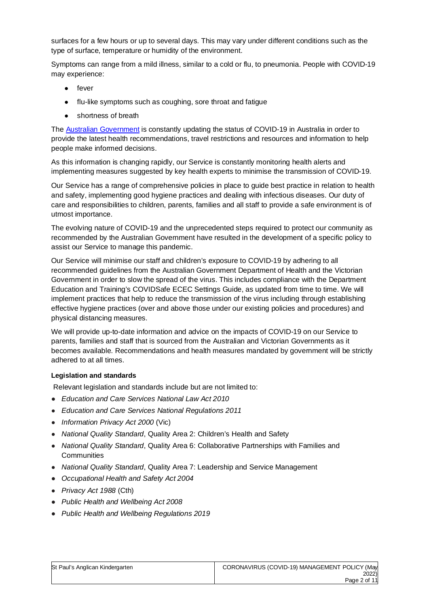surfaces for a few hours or up to several days. This may vary under different conditions such as the type of surface, temperature or humidity of the environment.

Symptoms can range from a mild illness, similar to a cold or flu, to pneumonia. People with COVID-19 may experience:

- fever
- flu-like symptoms such as coughing, sore throat and fatigue
- shortness of breath

The Australian Government is constantly updating the status of COVID-19 in Australia in order to provide the latest health recommendations, travel restrictions and resources and information to help people make informed decisions.

As this information is changing rapidly, our Service is constantly monitoring health alerts and implementing measures suggested by key health experts to minimise the transmission of COVID-19.

Our Service has a range of comprehensive policies in place to guide best practice in relation to health and safety, implementing good hygiene practices and dealing with infectious diseases. Our duty of care and responsibilities to children, parents, families and all staff to provide a safe environment is of utmost importance.

The evolving nature of COVID-19 and the unprecedented steps required to protect our community as recommended by the Australian Government have resulted in the development of a specific policy to assist our Service to manage this pandemic.

Our Service will minimise our staff and children's exposure to COVID-19 by adhering to all recommended guidelines from the Australian Government Department of Health and the Victorian Government in order to slow the spread of the virus. This includes compliance with the Department Education and Training's COVIDSafe ECEC Settings Guide, as updated from time to time. We will implement practices that help to reduce the transmission of the virus including through establishing effective hygiene practices (over and above those under our existing policies and procedures) and physical distancing measures.

We will provide up-to-date information and advice on the impacts of COVID-19 on our Service to parents, families and staff that is sourced from the Australian and Victorian Governments as it becomes available. Recommendations and health measures mandated by government will be strictly adhered to at all times.

#### **Legislation and standards**

Relevant legislation and standards include but are not limited to:

- *Education and Care Services National Law Act 2010*
- *Education and Care Services National Regulations 2011*
- *Information Privacy Act 2000* (Vic)
- *National Quality Standard*, Quality Area 2: Children's Health and Safety
- *National Quality Standard*, Quality Area 6: Collaborative Partnerships with Families and **Communities**
- *National Quality Standard*, Quality Area 7: Leadership and Service Management
- *Occupational Health and Safety Act 2004*
- *Privacy Act 1988* (Cth)
- *Public Health and Wellbeing Act 2008*
- *Public Health and Wellbeing Regulations 2019*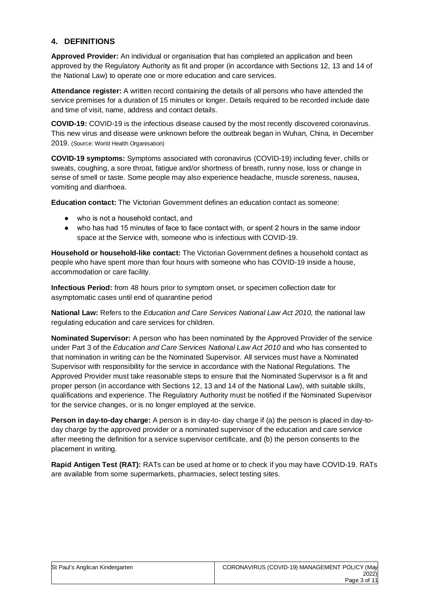### **4. DEFINITIONS**

**Approved Provider:** An individual or organisation that has completed an application and been approved by the Regulatory Authority as fit and proper (in accordance with Sections 12, 13 and 14 of the National Law) to operate one or more education and care services.

**Attendance register:** A written record containing the details of all persons who have attended the service premises for a duration of 15 minutes or longer. Details required to be recorded include date and time of visit, name, address and contact details.

**COVID-19:** COVID-19 is the infectious disease caused by the most recently discovered coronavirus. This new virus and disease were unknown before the outbreak began in Wuhan, China, in December 2019. (Source: World Health Organisation)

**COVID-19 symptoms:** Symptoms associated with coronavirus (COVID-19) including fever, chills or sweats, coughing, a sore throat, fatigue and/or shortness of breath, runny nose, loss or change in sense of smell or taste. Some people may also experience headache, muscle soreness, nausea, vomiting and diarrhoea.

**Education contact:** The Victorian Government defines an education contact as someone:

- who is not a household contact, and
- who has had 15 minutes of face to face contact with, or spent 2 hours in the same indoor space at the Service with, someone who is infectious with COVID-19.

**Household or household-like contact:** The Victorian Government defines a household contact as people who have spent more than four hours with someone who has COVID-19 inside a house, accommodation or care facility.

**Infectious Period:** from 48 hours prior to symptom onset, or specimen collection date for asymptomatic cases until end of quarantine period

**National Law:** Refers to the *Education and Care Services National Law Act 2010*, the national law regulating education and care services for children.

**Nominated Supervisor:** A person who has been nominated by the Approved Provider of the service under Part 3 of the *Education and Care Services National Law Act 2010* and who has consented to that nomination in writing can be the Nominated Supervisor. All services must have a Nominated Supervisor with responsibility for the service in accordance with the National Regulations. The Approved Provider must take reasonable steps to ensure that the Nominated Supervisor is a fit and proper person (in accordance with Sections 12, 13 and 14 of the National Law), with suitable skills, qualifications and experience. The Regulatory Authority must be notified if the Nominated Supervisor for the service changes, or is no longer employed at the service.

**Person in day-to-day charge:** A person is in day-to- day charge if (a) the person is placed in day-today charge by the approved provider or a nominated supervisor of the education and care service after meeting the definition for a service supervisor certificate, and (b) the person consents to the placement in writing.

**Rapid Antigen Test (RAT):** RATs can be used at home or to check if you may have COVID-19. RATs are available from some supermarkets, pharmacies, select testing sites.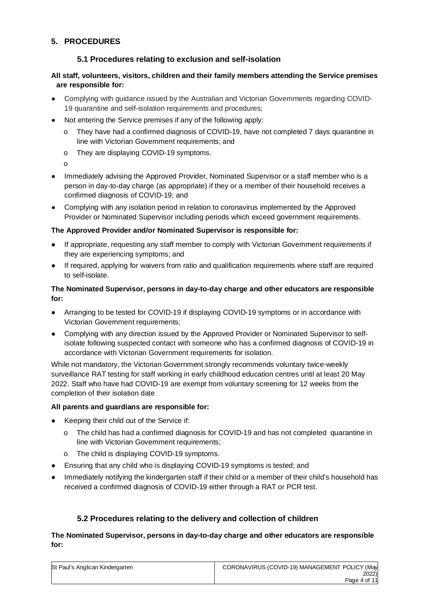# **5. PROCEDURES**

## **5.1 Procedures relating to exclusion and self-isolation**

### **All staff, volunteers, visitors, children and their family members attending the Service premises are responsible for:**

- Complying with guidance issued by the Australian and Victorian Governments regarding COVID-19 quarantine and self-isolation requirements and procedures;
- Not entering the Service premises if any of the following apply:
	- o They have had a confirmed diagnosis of COVID-19, have not completed 7 days quarantine in line with Victorian Government requirements; and
	- o They are displaying COVID-19 symptoms.
	- o
- Immediately advising the Approved Provider, Nominated Supervisor or a staff member who is a person in day-to-day charge (as appropriate) if they or a member of their household receives a confirmed diagnosis of COVID-19; and
- Complying with any isolation period in relation to coronavirus implemented by the Approved Provider or Nominated Supervisor including periods which exceed government requirements.

#### **The Approved Provider and/or Nominated Supervisor is responsible for:**

- If appropriate, requesting any staff member to comply with Victorian Government requirements if they are experiencing symptoms; and
- If required, applying for waivers from ratio and qualification requirements where staff are required to self-isolate.

#### **The Nominated Supervisor, persons in day-to-day charge and other educators are responsible for:**

- Arranging to be tested for COVID-19 if displaying COVID-19 symptoms or in accordance with Victorian Government requirements;
- Complying with any direction issued by the Approved Provider or Nominated Supervisor to selfisolate following suspected contact with someone who has a confirmed diagnosis of COVID-19 in accordance with Victorian Government requirements for isolation.

While not mandatory, the Victorian Government strongly recommends voluntary twice-weekly surveillance RAT testing for staff working in early childhood education centres until at least 20 May 2022. Staff who have had COVID-19 are exempt from voluntary screening for 12 weeks from the completion of their isolation date

### **All parents and guardians are responsible for:**

- Keeping their child out of the Service if:
	- o The child has had a confirmed diagnosis for COVID-19 and has not completed quarantine in line with Victorian Government requirements;
	- o The child is displaying COVID-19 symptoms.
- Ensuring that any child who is displaying COVID-19 symptoms is tested; and
- Immediately notifying the kindergarten staff if their child or a member of their child's household has received a confirmed diagnosis of COVID-19 either through a RAT or PCR test.

### **5.2 Procedures relating to the delivery and collection of children**

#### **The Nominated Supervisor, persons in day-to-day charge and other educators are responsible for:**

| St Paul's Anglican Kindergarten | CORONAVIRUS (COVID-19) MANAGEMENT POLICY (May |
|---------------------------------|-----------------------------------------------|
|                                 | 2022)                                         |
|                                 | Page 4 of 11                                  |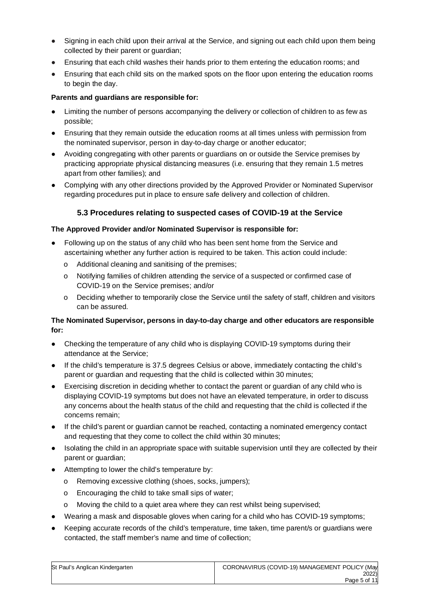- Signing in each child upon their arrival at the Service, and signing out each child upon them being collected by their parent or guardian;
- Ensuring that each child washes their hands prior to them entering the education rooms; and
- Ensuring that each child sits on the marked spots on the floor upon entering the education rooms to begin the day.

### **Parents and guardians are responsible for:**

- Limiting the number of persons accompanying the delivery or collection of children to as few as possible;
- Ensuring that they remain outside the education rooms at all times unless with permission from the nominated supervisor, person in day-to-day charge or another educator;
- Avoiding congregating with other parents or guardians on or outside the Service premises by practicing appropriate physical distancing measures (i.e. ensuring that they remain 1.5 metres apart from other families); and
- Complying with any other directions provided by the Approved Provider or Nominated Supervisor regarding procedures put in place to ensure safe delivery and collection of children.

# **5.3 Procedures relating to suspected cases of COVID-19 at the Service**

### **The Approved Provider and/or Nominated Supervisor is responsible for:**

- Following up on the status of any child who has been sent home from the Service and ascertaining whether any further action is required to be taken. This action could include:
	- o Additional cleaning and sanitising of the premises;
	- o Notifying families of children attending the service of a suspected or confirmed case of COVID-19 on the Service premises; and/or
	- o Deciding whether to temporarily close the Service until the safety of staff, children and visitors can be assured.

### **The Nominated Supervisor, persons in day-to-day charge and other educators are responsible for:**

- Checking the temperature of any child who is displaying COVID-19 symptoms during their attendance at the Service;
- If the child's temperature is 37.5 degrees Celsius or above, immediately contacting the child's parent or guardian and requesting that the child is collected within 30 minutes;
- Exercising discretion in deciding whether to contact the parent or guardian of any child who is displaying COVID-19 symptoms but does not have an elevated temperature, in order to discuss any concerns about the health status of the child and requesting that the child is collected if the concerns remain;
- If the child's parent or guardian cannot be reached, contacting a nominated emergency contact and requesting that they come to collect the child within 30 minutes;
- Isolating the child in an appropriate space with suitable supervision until they are collected by their parent or guardian;
- Attempting to lower the child's temperature by:
	- o Removing excessive clothing (shoes, socks, jumpers);
	- o Encouraging the child to take small sips of water;
	- $\circ$  Moving the child to a quiet area where they can rest whilst being supervised;
- Wearing a mask and disposable gloves when caring for a child who has COVID-19 symptoms;
- Keeping accurate records of the child's temperature, time taken, time parent/s or guardians were contacted, the staff member's name and time of collection;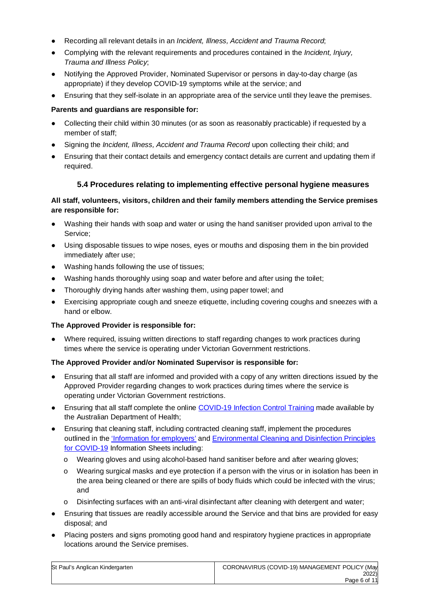- Recording all relevant details in an *Incident, Illness, Accident and Trauma Record*;
- Complying with the relevant requirements and procedures contained in the *Incident, Injury, Trauma and Illness Policy*;
- Notifying the Approved Provider, Nominated Supervisor or persons in day-to-day charge (as appropriate) if they develop COVID-19 symptoms while at the service; and
- Ensuring that they self-isolate in an appropriate area of the service until they leave the premises.

### **Parents and guardians are responsible for:**

- Collecting their child within 30 minutes (or as soon as reasonably practicable) if requested by a member of staff;
- Signing the *Incident, Illness, Accident and Trauma Record* upon collecting their child; and
- Ensuring that their contact details and emergency contact details are current and updating them if required.

### **5.4 Procedures relating to implementing effective personal hygiene measures**

### **All staff, volunteers, visitors, children and their family members attending the Service premises are responsible for:**

- Washing their hands with soap and water or using the hand sanitiser provided upon arrival to the Service;
- Using disposable tissues to wipe noses, eyes or mouths and disposing them in the bin provided immediately after use;
- Washing hands following the use of tissues;
- Washing hands thoroughly using soap and water before and after using the toilet;
- Thoroughly drying hands after washing them, using paper towel; and
- Exercising appropriate cough and sneeze etiquette, including covering coughs and sneezes with a hand or elbow.

#### **The Approved Provider is responsible for:**

Where required, issuing written directions to staff regarding changes to work practices during times where the service is operating under Victorian Government restrictions.

#### **The Approved Provider and/or Nominated Supervisor is responsible for:**

- Ensuring that all staff are informed and provided with a copy of any written directions issued by the Approved Provider regarding changes to work practices during times where the service is operating under Victorian Government restrictions.
- Ensuring that all staff complete the online COVID-19 Infection Control Training made available by the Australian Department of Health;
- Ensuring that cleaning staff, including contracted cleaning staff, implement the procedures outlined in the 'Information for employers' and Environmental Cleaning and Disinfection Principles for COVID-19 Information Sheets including:
	- o Wearing gloves and using alcohol-based hand sanitiser before and after wearing gloves;
	- o Wearing surgical masks and eye protection if a person with the virus or in isolation has been in the area being cleaned or there are spills of body fluids which could be infected with the virus; and
	- $\circ$  Disinfecting surfaces with an anti-viral disinfectant after cleaning with detergent and water;
- Ensuring that tissues are readily accessible around the Service and that bins are provided for easy disposal; and
- Placing posters and signs promoting good hand and respiratory hygiene practices in appropriate locations around the Service premises.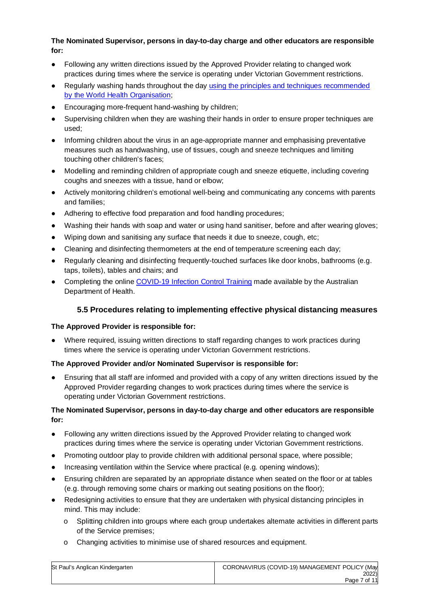### **The Nominated Supervisor, persons in day-to-day charge and other educators are responsible for:**

- Following any written directions issued by the Approved Provider relating to changed work practices during times where the service is operating under Victorian Government restrictions.
- Regularly washing hands throughout the day using the principles and techniques recommended by the World Health Organisation;
- Encouraging more-frequent hand-washing by children;
- Supervising children when they are washing their hands in order to ensure proper techniques are used;
- Informing children about the virus in an age-appropriate manner and emphasising preventative measures such as handwashing, use of tissues, cough and sneeze techniques and limiting touching other children's faces;
- Modelling and reminding children of appropriate cough and sneeze etiquette, including covering coughs and sneezes with a tissue, hand or elbow;
- Actively monitoring children's emotional well-being and communicating any concerns with parents and families;
- Adhering to effective food preparation and food handling procedures;
- Washing their hands with soap and water or using hand sanitiser, before and after wearing gloves;
- Wiping down and sanitising any surface that needs it due to sneeze, cough, etc;
- Cleaning and disinfecting thermometers at the end of temperature screening each day;
- Regularly cleaning and disinfecting frequently-touched surfaces like door knobs, bathrooms (e.g. taps, toilets), tables and chairs; and
- Completing the online COVID-19 Infection Control Training made available by the Australian Department of Health.

# **5.5 Procedures relating to implementing effective physical distancing measures**

### **The Approved Provider is responsible for:**

Where required, issuing written directions to staff regarding changes to work practices during times where the service is operating under Victorian Government restrictions.

### **The Approved Provider and/or Nominated Supervisor is responsible for:**

Ensuring that all staff are informed and provided with a copy of any written directions issued by the Approved Provider regarding changes to work practices during times where the service is operating under Victorian Government restrictions.

### **The Nominated Supervisor, persons in day-to-day charge and other educators are responsible for:**

- Following any written directions issued by the Approved Provider relating to changed work practices during times where the service is operating under Victorian Government restrictions.
- Promoting outdoor play to provide children with additional personal space, where possible;
- Increasing ventilation within the Service where practical (e.g. opening windows);
- Ensuring children are separated by an appropriate distance when seated on the floor or at tables (e.g. through removing some chairs or marking out seating positions on the floor);
- Redesigning activities to ensure that they are undertaken with physical distancing principles in mind. This may include:
	- o Splitting children into groups where each group undertakes alternate activities in different parts of the Service premises;
	- o Changing activities to minimise use of shared resources and equipment.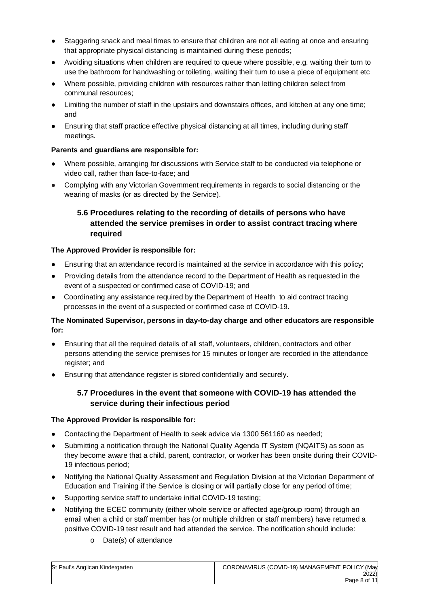- Staggering snack and meal times to ensure that children are not all eating at once and ensuring that appropriate physical distancing is maintained during these periods;
- Avoiding situations when children are required to queue where possible, e.g. waiting their turn to use the bathroom for handwashing or toileting, waiting their turn to use a piece of equipment etc
- Where possible, providing children with resources rather than letting children select from communal resources;
- Limiting the number of staff in the upstairs and downstairs offices, and kitchen at any one time; and
- Ensuring that staff practice effective physical distancing at all times, including during staff meetings.

### **Parents and guardians are responsible for:**

- Where possible, arranging for discussions with Service staff to be conducted via telephone or video call, rather than face-to-face; and
- Complying with any Victorian Government requirements in regards to social distancing or the wearing of masks (or as directed by the Service).

# **5.6 Procedures relating to the recording of details of persons who have attended the service premises in order to assist contract tracing where required**

#### **The Approved Provider is responsible for:**

- Ensuring that an attendance record is maintained at the service in accordance with this policy;
- Providing details from the attendance record to the Department of Health as requested in the event of a suspected or confirmed case of COVID-19; and
- Coordinating any assistance required by the Department of Health to aid contract tracing processes in the event of a suspected or confirmed case of COVID-19.

#### **The Nominated Supervisor, persons in day-to-day charge and other educators are responsible for:**

- Ensuring that all the required details of all staff, volunteers, children, contractors and other persons attending the service premises for 15 minutes or longer are recorded in the attendance register; and
- Ensuring that attendance register is stored confidentially and securely.

### **5.7 Procedures in the event that someone with COVID-19 has attended the service during their infectious period**

#### **The Approved Provider is responsible for:**

- Contacting the Department of Health to seek advice via 1300 561160 as needed;
- Submitting a notification through the National Quality Agenda IT System (NQAITS) as soon as they become aware that a child, parent, contractor, or worker has been onsite during their COVID-19 infectious period;
- Notifying the National Quality Assessment and Regulation Division at the Victorian Department of Education and Training if the Service is closing or will partially close for any period of time;
- Supporting service staff to undertake initial COVID-19 testing;
- Notifying the ECEC community (either whole service or affected age/group room) through an email when a child or staff member has (or multiple children or staff members) have returned a positive COVID-19 test result and had attended the service. The notification should include:
	- o Date(s) of attendance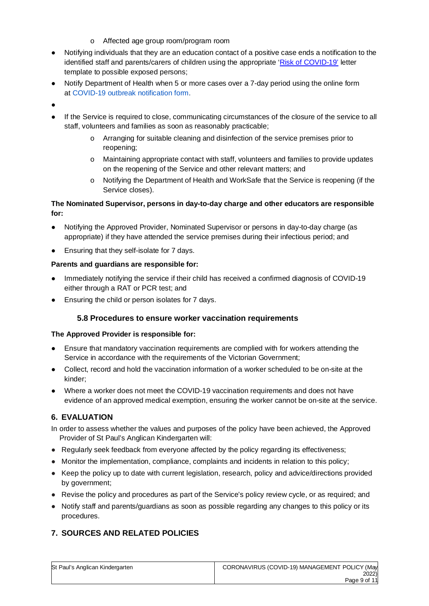- o Affected age group room/program room
- Notifying individuals that they are an education contact of a positive case ends a notification to the identified staff and parents/carers of children using the appropriate 'Risk of COVID-19' letter template to possible exposed persons;
- Notify Department of Health when 5 or more cases over a 7-day period using the online form at COVID-19 outbreak notification form.
- ●
- If the Service is required to close, communicating circumstances of the closure of the service to all staff, volunteers and families as soon as reasonably practicable;
	- o Arranging for suitable cleaning and disinfection of the service premises prior to reopening;
	- o Maintaining appropriate contact with staff, volunteers and families to provide updates on the reopening of the Service and other relevant matters; and
	- o Notifying the Department of Health and WorkSafe that the Service is reopening (if the Service closes).

## **The Nominated Supervisor, persons in day-to-day charge and other educators are responsible for:**

- Notifying the Approved Provider, Nominated Supervisor or persons in day-to-day charge (as appropriate) if they have attended the service premises during their infectious period; and
- Ensuring that they self-isolate for 7 days.

### **Parents and guardians are responsible for:**

- Immediately notifying the service if their child has received a confirmed diagnosis of COVID-19 either through a RAT or PCR test; and
- Ensuring the child or person isolates for 7 days.

# **5.8 Procedures to ensure worker vaccination requirements**

# **The Approved Provider is responsible for:**

- Ensure that mandatory vaccination requirements are complied with for workers attending the Service in accordance with the requirements of the Victorian Government;
- Collect, record and hold the vaccination information of a worker scheduled to be on-site at the kinder;
- Where a worker does not meet the COVID-19 vaccination requirements and does not have evidence of an approved medical exemption, ensuring the worker cannot be on-site at the service.

# **6. EVALUATION**

In order to assess whether the values and purposes of the policy have been achieved, the Approved Provider of St Paul's Anglican Kindergarten will:

- Regularly seek feedback from everyone affected by the policy regarding its effectiveness;
- Monitor the implementation, compliance, complaints and incidents in relation to this policy;
- Keep the policy up to date with current legislation, research, policy and advice/directions provided by government;
- Revise the policy and procedures as part of the Service's policy review cycle, or as required; and
- Notify staff and parents/guardians as soon as possible regarding any changes to this policy or its procedures.

# **7. SOURCES AND RELATED POLICIES**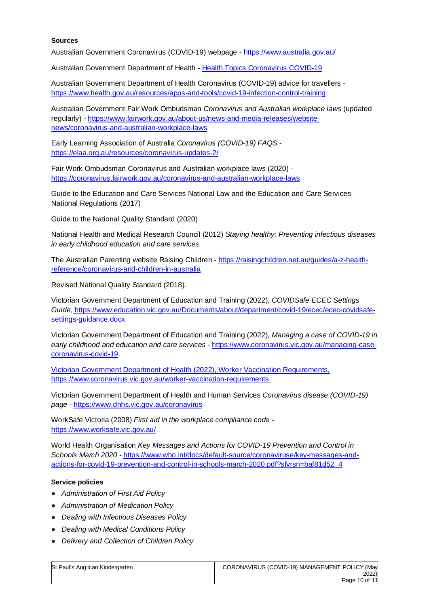#### **Sources**

Australian Government Coronavirus (COVID-19) webpage - https://www.australia.gov.au/

Australian Government Department of Health - Health Topics Coronavirus COVID-19

Australian Government Department of Health Coronavirus (COVID-19) advice for travellers https://www.health.gov.au/resources/apps-and-tools/covid-19-infection-control-training

Australian Government Fair Work Ombudsman *Coronavirus and Australian workplace laws* (updated regularly) - https://www.fairwork.gov.au/about-us/news-and-media-releases/websitenews/coronavirus-and-australian-workplace-laws

Early Learning Association of Australia *Coronavirus (COVID-19) FAQS* https://elaa.org.au/resources/coronavirus-updates-2/

Fair Work Ombudsman Coronavirus and Australian workplace laws (2020) https://coronavirus.fairwork.gov.au/coronavirus-and-australian-workplace-laws

Guide to the Education and Care Services National Law and the Education and Care Services National Regulations (2017)

Guide to the National Quality Standard (2020)

National Health and Medical Research Council (2012) *Staying healthy: Preventing infectious diseases in early childhood education and care services.* 

The Australian Parenting website Raising Children - https://raisingchildren.net.au/guides/a-z-healthreference/coronavirus-and-children-in-australia

Revised National Quality Standard (2018).

Victorian Government Department of Education and Training (2022), *COVIDSafe ECEC Settings Guide,* https://www.education.vic.gov.au/Documents/about/department/covid-19/ecec/ecec-covidsafesettings-guidance.docx

Victorian Government Department of Education and Training (2022), *Managing a case of COVID-19 in early childhood and education and care services -* https://www.coronavirus.vic.gov.au/managing-casecoronavirus-covid-19.

Victorian Government Department of Health (2022), Worker Vaccination Requirements, https://www.coronavirus.vic.gov.au/worker-vaccination-requirements.

Victorian Government Department of Health and Human Services *Coronavirus disease (COVID-19) page* - https://www.dhhs.vic.gov.au/coronavirus

WorkSafe Victoria (2008) *First aid in the workplace compliance code*  https://www.worksafe.vic.gov.au/

World Health Organisation *Key Messages and Actions for COVID-19 Prevention and Control in Schools March 2020* - https://www.who.int/docs/default-source/coronaviruse/key-messages-andactions-for-covid-19-prevention-and-control-in-schools-march-2020.pdf?sfvrsn=baf81d52\_4

#### **Service policies**

- *Administration of First Aid Policy*
- *Administration of Medication Policy*
- *Dealing with Infectious Diseases Policy*
- *Dealing with Medical Conditions Policy*
- *Delivery and Collection of Children Policy*